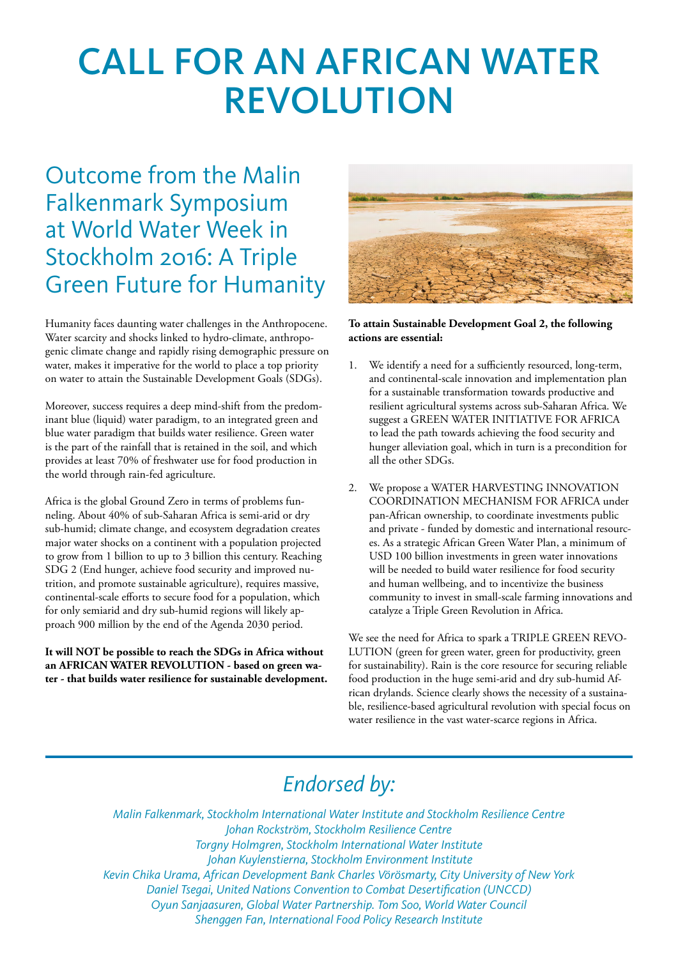# CALL FOR AN AFRICAN WATER REVOLUTION

### Outcome from the Malin Falkenmark Symposium at World Water Week in Stockholm 2016: A Triple Green Future for Humanity

Humanity faces daunting water challenges in the Anthropocene. Water scarcity and shocks linked to hydro-climate, anthropogenic climate change and rapidly rising demographic pressure on water, makes it imperative for the world to place a top priority on water to attain the Sustainable Development Goals (SDGs).

Moreover, success requires a deep mind-shift from the predominant blue (liquid) water paradigm, to an integrated green and blue water paradigm that builds water resilience. Green water is the part of the rainfall that is retained in the soil, and which provides at least 70% of freshwater use for food production in the world through rain-fed agriculture.

Africa is the global Ground Zero in terms of problems funneling. About 40% of sub-Saharan Africa is semi-arid or dry sub-humid; climate change, and ecosystem degradation creates major water shocks on a continent with a population projected to grow from 1 billion to up to 3 billion this century. Reaching SDG 2 (End hunger, achieve food security and improved nutrition, and promote sustainable agriculture), requires massive, continental-scale efforts to secure food for a population, which for only semiarid and dry sub-humid regions will likely approach 900 million by the end of the Agenda 2030 period.

**It will NOT be possible to reach the SDGs in Africa without an AFRICAN WATER REVOLUTION - based on green water - that builds water resilience for sustainable development.**



### **To attain Sustainable Development Goal 2, the following actions are essential:**

- 1. We identify a need for a sufficiently resourced, long-term, and continental-scale innovation and implementation plan for a sustainable transformation towards productive and resilient agricultural systems across sub-Saharan Africa. We suggest a GREEN WATER INITIATIVE FOR AFRICA to lead the path towards achieving the food security and hunger alleviation goal, which in turn is a precondition for all the other SDGs.
- 2. We propose a WATER HARVESTING INNOVATION COORDINATION MECHANISM FOR AFRICA under pan-African ownership, to coordinate investments public and private - funded by domestic and international resources. As a strategic African Green Water Plan, a minimum of USD 100 billion investments in green water innovations will be needed to build water resilience for food security and human wellbeing, and to incentivize the business community to invest in small-scale farming innovations and catalyze a Triple Green Revolution in Africa.

We see the need for Africa to spark a TRIPLE GREEN REVO-LUTION (green for green water, green for productivity, green for sustainability). Rain is the core resource for securing reliable food production in the huge semi-arid and dry sub-humid African drylands. Science clearly shows the necessity of a sustainable, resilience-based agricultural revolution with special focus on water resilience in the vast water-scarce regions in Africa.

### *Endorsed by:*

*Malin Falkenmark, Stockholm International Water Institute and Stockholm Resilience Centre Johan Rockström, Stockholm Resilience Centre Torgny Holmgren, Stockholm International Water Institute Johan Kuylenstierna, Stockholm Environment Institute Kevin Chika Urama, African Development Bank Charles Vörösmarty, City University of New York Daniel Tsegai, United Nations Convention to Combat Desertification (UNCCD) Oyun Sanjaasuren, Global Water Partnership. Tom Soo, World Water Council Shenggen Fan, International Food Policy Research Institute*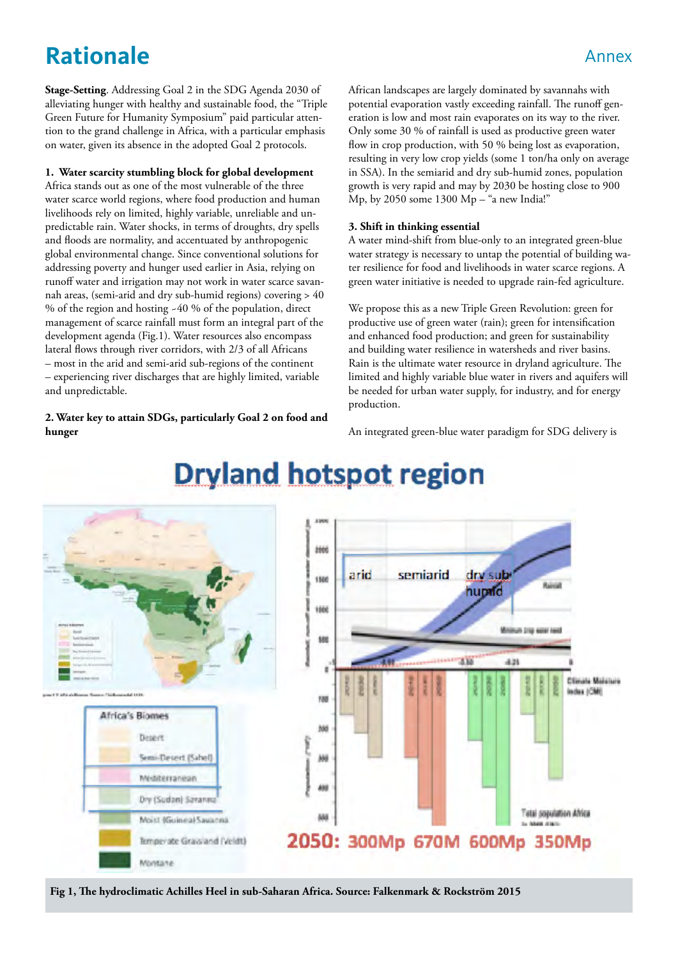### **Rationale** Annex

**Stage-Setting**. Addressing Goal 2 in the SDG Agenda 2030 of alleviating hunger with healthy and sustainable food, the "Triple Green Future for Humanity Symposium" paid particular attention to the grand challenge in Africa, with a particular emphasis on water, given its absence in the adopted Goal 2 protocols.

#### **1. Water scarcity stumbling block for global development**

Africa stands out as one of the most vulnerable of the three water scarce world regions, where food production and human livelihoods rely on limited, highly variable, unreliable and unpredictable rain. Water shocks, in terms of droughts, dry spells and floods are normality, and accentuated by anthropogenic global environmental change. Since conventional solutions for addressing poverty and hunger used earlier in Asia, relying on runoff water and irrigation may not work in water scarce savannah areas, (semi-arid and dry sub-humid regions) covering > 40 % of the region and hosting ~40 % of the population, direct management of scarce rainfall must form an integral part of the development agenda (Fig.1). Water resources also encompass lateral flows through river corridors, with 2/3 of all Africans – most in the arid and semi-arid sub-regions of the continent – experiencing river discharges that are highly limited, variable and unpredictable.

**2. Water key to attain SDGs, particularly Goal 2 on food and hunger**

African landscapes are largely dominated by savannahs with potential evaporation vastly exceeding rainfall. The runoff generation is low and most rain evaporates on its way to the river. Only some 30 % of rainfall is used as productive green water flow in crop production, with 50 % being lost as evaporation, resulting in very low crop yields (some 1 ton/ha only on average in SSA). In the semiarid and dry sub-humid zones, population growth is very rapid and may by 2030 be hosting close to 900 Mp, by 2050 some 1300 Mp – "a new India!"

#### **3. Shift in thinking essential**

A water mind-shift from blue-only to an integrated green-blue water strategy is necessary to untap the potential of building water resilience for food and livelihoods in water scarce regions. A green water initiative is needed to upgrade rain-fed agriculture.

We propose this as a new Triple Green Revolution: green for productive use of green water (rain); green for intensification and enhanced food production; and green for sustainability and building water resilience in watersheds and river basins. Rain is the ultimate water resource in dryland agriculture. The limited and highly variable blue water in rivers and aquifers will be needed for urban water supply, for industry, and for energy production.

An integrated green-blue water paradigm for SDG delivery is



## **Dryland hotspot region**

**Fig 1, The hydroclimatic Achilles Heel in sub-Saharan Africa. Source: Falkenmark & Rockström 2015**